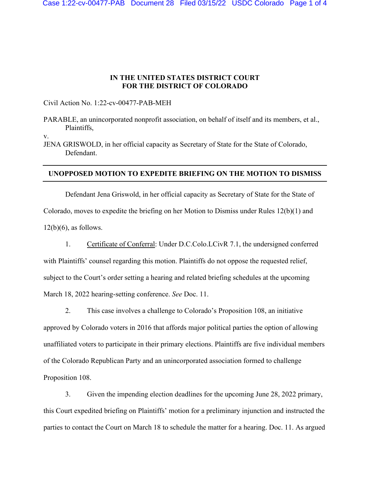## **IN THE UNITED STATES DISTRICT COURT FOR THE DISTRICT OF COLORADO**

Civil Action No. 1:22-cv-00477-PAB-MEH

PARABLE, an unincorporated nonprofit association, on behalf of itself and its members, et al., Plaintiffs,

v.

JENA GRISWOLD, in her official capacity as Secretary of State for the State of Colorado, Defendant.

## **UNOPPOSED MOTION TO EXPEDITE BRIEFING ON THE MOTION TO DISMISS**

Defendant Jena Griswold, in her official capacity as Secretary of State for the State of Colorado, moves to expedite the briefing on her Motion to Dismiss under Rules 12(b)(1) and  $12(b)(6)$ , as follows.

1. Certificate of Conferral: Under D.C.Colo.LCivR 7.1, the undersigned conferred

with Plaintiffs' counsel regarding this motion. Plaintiffs do not oppose the requested relief, subject to the Court's order setting a hearing and related briefing schedules at the upcoming March 18, 2022 hearing-setting conference. *See* Doc. 11.

2. This case involves a challenge to Colorado's Proposition 108, an initiative

approved by Colorado voters in 2016 that affords major political parties the option of allowing unaffiliated voters to participate in their primary elections. Plaintiffs are five individual members of the Colorado Republican Party and an unincorporated association formed to challenge Proposition 108.

3. Given the impending election deadlines for the upcoming June 28, 2022 primary, this Court expedited briefing on Plaintiffs' motion for a preliminary injunction and instructed the parties to contact the Court on March 18 to schedule the matter for a hearing. Doc. 11. As argued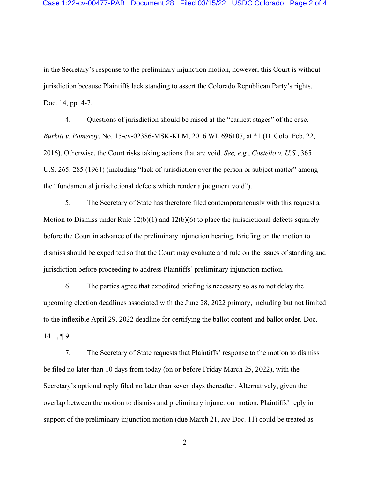in the Secretary's response to the preliminary injunction motion, however, this Court is without jurisdiction because Plaintiffs lack standing to assert the Colorado Republican Party's rights. Doc. 14, pp. 4-7.

4. Questions of jurisdiction should be raised at the "earliest stages" of the case. *Burkitt v. Pomeroy*, No. 15-cv-02386-MSK-KLM, 2016 WL 696107, at \*1 (D. Colo. Feb. 22, 2016). Otherwise, the Court risks taking actions that are void. *See, e.g.*, *Costello v. U.S.*, 365 U.S. 265, 285 (1961) (including "lack of jurisdiction over the person or subject matter" among the "fundamental jurisdictional defects which render a judgment void").

5. The Secretary of State has therefore filed contemporaneously with this request a Motion to Dismiss under Rule  $12(b)(1)$  and  $12(b)(6)$  to place the jurisdictional defects squarely before the Court in advance of the preliminary injunction hearing. Briefing on the motion to dismiss should be expedited so that the Court may evaluate and rule on the issues of standing and jurisdiction before proceeding to address Plaintiffs' preliminary injunction motion.

6. The parties agree that expedited briefing is necessary so as to not delay the upcoming election deadlines associated with the June 28, 2022 primary, including but not limited to the inflexible April 29, 2022 deadline for certifying the ballot content and ballot order. Doc.  $14-1, \P 9.$ 

7. The Secretary of State requests that Plaintiffs' response to the motion to dismiss be filed no later than 10 days from today (on or before Friday March 25, 2022), with the Secretary's optional reply filed no later than seven days thereafter. Alternatively, given the overlap between the motion to dismiss and preliminary injunction motion, Plaintiffs' reply in support of the preliminary injunction motion (due March 21, *see* Doc. 11) could be treated as

2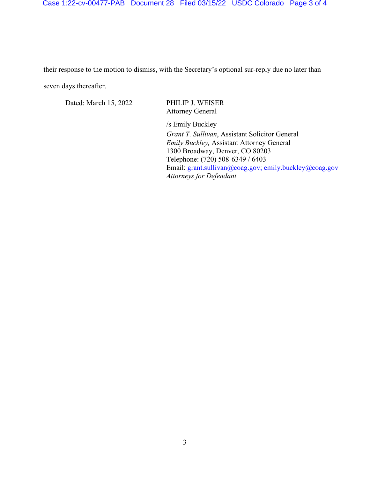## Case 1:22-cv-00477-PAB Document 28 Filed 03/15/22 USDC Colorado Page 3 of 4

their response to the motion to dismiss, with the Secretary's optional sur-reply due no later than seven days thereafter.

Dated: March 15, 2022 PHILIP J. WEISER

Attorney General

/s Emily Buckley

*Grant T. Sullivan*, Assistant Solicitor General *Emily Buckley,* Assistant Attorney General 1300 Broadway, Denver, CO 80203 Telephone: (720) 508-6349 / 6403 Email: [grant.sullivan@coag.gov;](mailto:grant.sullivan@coag.gov) emily.buckley@coag.gov *Attorneys for Defendant*